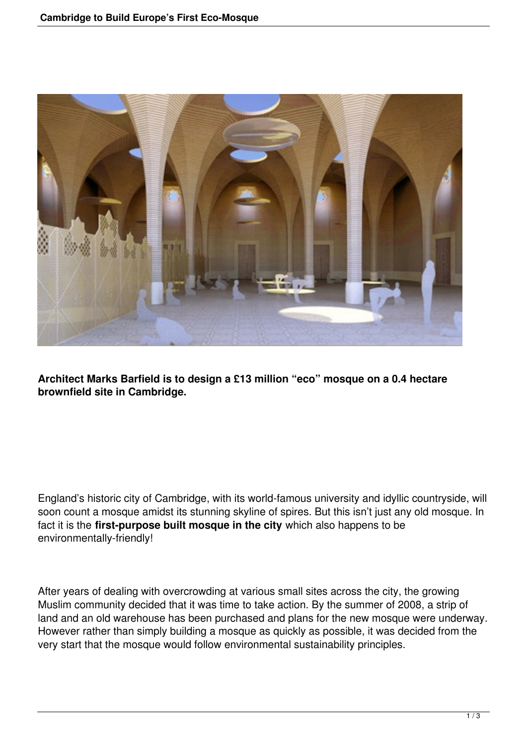

**Architect Marks Barfield is to design a £13 million "eco" mosque on a 0.4 hectare brownfield site in Cambridge.**

England's historic city of Cambridge, with its world-famous university and idyllic countryside, will soon count a mosque amidst its stunning skyline of spires. But this isn't just any old mosque. In fact it is the **first-purpose built mosque in the city** which also happens to be environmentally-friendly!

After years of dealing with overcrowding at various small sites across the city, the growing Muslim community decided that it was time to take action. By the summer of 2008, a strip of land and an old warehouse has been purchased and plans for the new mosque were underway. However rather than simply building a mosque as quickly as possible, it was decided from the very start that the mosque would follow environmental sustainability principles.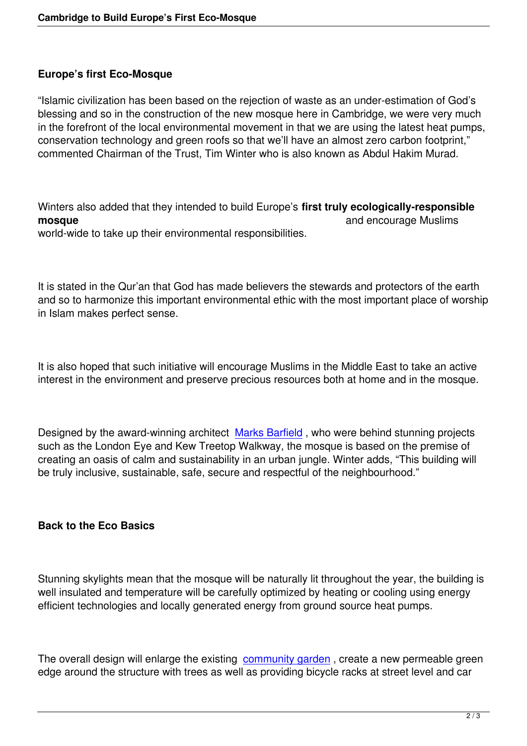## **Europe's first Eco-Mosque**

"Islamic civilization has been based on the rejection of waste as an under-estimation of God's blessing and so in the construction of the new mosque here in Cambridge, we were very much in the forefront of the local environmental movement in that we are using the latest heat pumps, conservation technology and green roofs so that we'll have an almost zero carbon footprint," commented Chairman of the Trust, Tim Winter who is also known as Abdul Hakim Murad.

Winters also added that they intended to build Europe's **first truly ecologically-responsible mosque** and encourage Muslims **and encourage Muslims** world-wide to take up their environmental responsibilities.

It is stated in the Qur'an that God has made believers the stewards and protectors of the earth and so to harmonize this important environmental ethic with the most important place of worship in Islam makes perfect sense.

It is also hoped that such initiative will encourage Muslims in the Middle East to take an active interest in the environment and preserve precious resources both at home and in the mosque.

Designed by the award-winning architect Marks Barfield, who were behind stunning projects such as the London Eye and Kew Treetop Walkway, the mosque is based on the premise of creating an oasis of calm and sustainability in an urban jungle. Winter adds, "This building will be truly inclusive, sustainable, safe, secur[e and respectfu](http://www.marksbarfield.com/)l of the neighbourhood."

## **Back to the Eco Basics**

Stunning skylights mean that the mosque will be naturally lit throughout the year, the building is well insulated and temperature will be carefully optimized by heating or cooling using energy efficient technologies and locally generated energy from ground source heat pumps.

The overall design will enlarge the existing community garden, create a new permeable green edge around the structure with trees as well as providing bicycle racks at street level and car